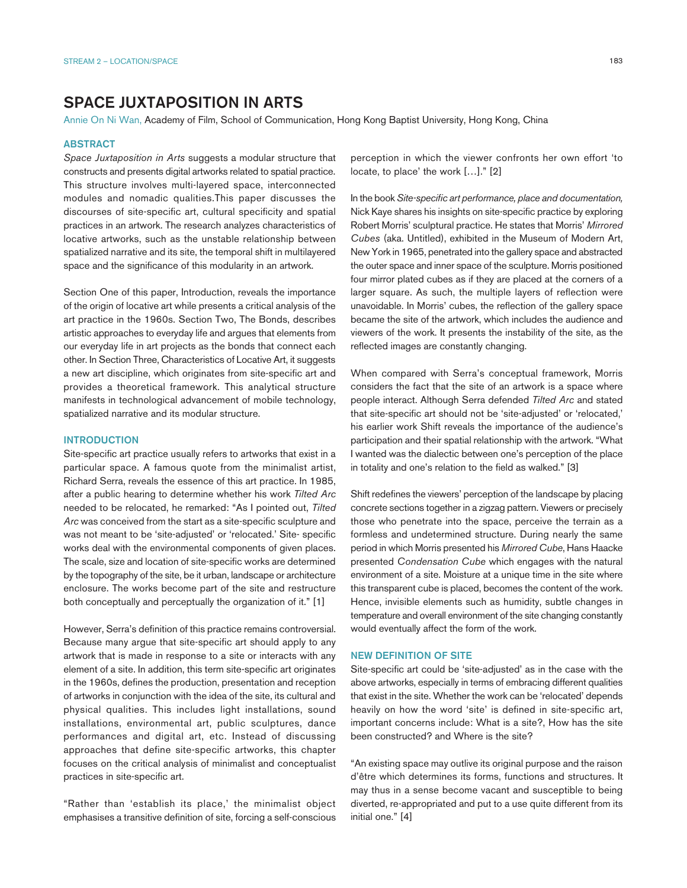# SPACE JUXTAPOSITION IN ARTS

Annie On Ni Wan, Academy of Film, School of Communication, Hong Kong Baptist University, Hong Kong, China

#### ABSTRACT

*Space Juxtaposition in Arts* suggests a modular structure that constructs and presents digital artworks related to spatial practice. This structure involves multi-layered space, interconnected modules and nomadic qualities.This paper discusses the discourses of site-specific art, cultural specificity and spatial practices in an artwork. The research analyzes characteristics of locative artworks, such as the unstable relationship between spatialized narrative and its site, the temporal shift in multilayered space and the significance of this modularity in an artwork.

Section One of this paper, Introduction, reveals the importance of the origin of locative art while presents a critical analysis of the art practice in the 1960s. Section Two, The Bonds, describes artistic approaches to everyday life and argues that elements from our everyday life in art projects as the bonds that connect each other. In Section Three, Characteristics of Locative Art, it suggests a new art discipline, which originates from site-specific art and provides a theoretical framework. This analytical structure manifests in technological advancement of mobile technology, spatialized narrative and its modular structure.

## **INTRODUCTION**

Site-specific art practice usually refers to artworks that exist in a particular space. A famous quote from the minimalist artist, Richard Serra, reveals the essence of this art practice. In 1985, after a public hearing to determine whether his work *Tilted Arc*  needed to be relocated, he remarked: "As I pointed out, *Tilted Arc* was conceived from the start as a site-specific sculpture and was not meant to be 'site-adjusted' or 'relocated.' Site- specific works deal with the environmental components of given places. The scale, size and location of site-specific works are determined by the topography of the site, be it urban, landscape or architecture enclosure. The works become part of the site and restructure both conceptually and perceptually the organization of it." [1]

However, Serra's definition of this practice remains controversial. Because many argue that site-specific art should apply to any artwork that is made in response to a site or interacts with any element of a site. In addition, this term site-specific art originates in the 1960s, defines the production, presentation and reception of artworks in conjunction with the idea of the site, its cultural and physical qualities. This includes light installations, sound installations, environmental art, public sculptures, dance performances and digital art, etc. Instead of discussing approaches that define site-specific artworks, this chapter focuses on the critical analysis of minimalist and conceptualist practices in site-specific art.

"Rather than 'establish its place,' the minimalist object emphasises a transitive definition of site, forcing a self-conscious perception in which the viewer confronts her own effort 'to locate, to place' the work […]." [2]

In the book *Site-specific art performance, place and documentation,*  Nick Kaye shares his insights on site-specific practice by exploring Robert Morris' sculptural practice. He states that Morris' *Mirrored Cubes* (aka. Untitled), exhibited in the Museum of Modern Art, New York in 1965, penetrated into the gallery space and abstracted the outer space and inner space of the sculpture. Morris positioned four mirror plated cubes as if they are placed at the corners of a larger square. As such, the multiple layers of reflection were unavoidable. In Morris' cubes, the reflection of the gallery space became the site of the artwork, which includes the audience and viewers of the work. It presents the instability of the site, as the reflected images are constantly changing.

When compared with Serra's conceptual framework, Morris considers the fact that the site of an artwork is a space where people interact. Although Serra defended *Tilted Arc* and stated that site-specific art should not be 'site-adjusted' or 'relocated,' his earlier work Shift reveals the importance of the audience's participation and their spatial relationship with the artwork. "What I wanted was the dialectic between one's perception of the place in totality and one's relation to the field as walked." [3]

Shift redefines the viewers' perception of the landscape by placing concrete sections together in a zigzag pattern. Viewers or precisely those who penetrate into the space, perceive the terrain as a formless and undetermined structure. During nearly the same period in which Morris presented his *Mirrored Cube*, Hans Haacke presented *Condensation Cube* which engages with the natural environment of a site. Moisture at a unique time in the site where this transparent cube is placed, becomes the content of the work. Hence, invisible elements such as humidity, subtle changes in temperature and overall environment of the site changing constantly would eventually affect the form of the work.

### NEW DEFINITION OF SITE

Site-specific art could be 'site-adjusted' as in the case with the above artworks, especially in terms of embracing different qualities that exist in the site. Whether the work can be 'relocated' depends heavily on how the word 'site' is defined in site-specific art, important concerns include: What is a site?, How has the site been constructed? and Where is the site?

"An existing space may outlive its original purpose and the raison d'être which determines its forms, functions and structures. It may thus in a sense become vacant and susceptible to being diverted, re-appropriated and put to a use quite different from its initial one." [4]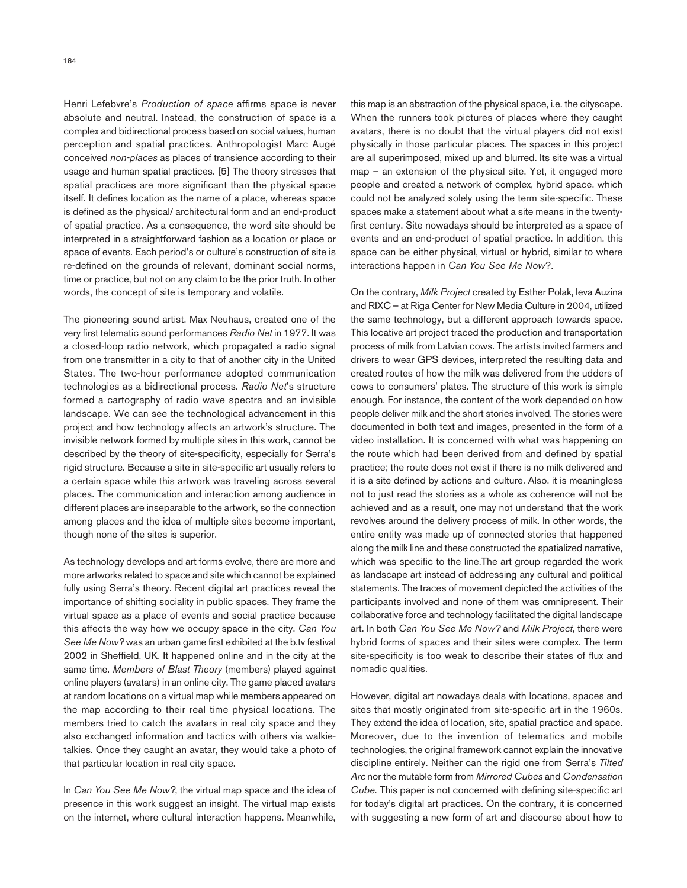Henri Lefebvre's *Production of space* affirms space is never absolute and neutral. Instead, the construction of space is a complex and bidirectional process based on social values, human perception and spatial practices. Anthropologist Marc Augé conceived *non-places* as places of transience according to their usage and human spatial practices. [5] The theory stresses that spatial practices are more significant than the physical space itself. It defines location as the name of a place, whereas space is defined as the physical/ architectural form and an end-product of spatial practice. As a consequence, the word site should be interpreted in a straightforward fashion as a location or place or space of events. Each period's or culture's construction of site is re-defined on the grounds of relevant, dominant social norms, time or practice, but not on any claim to be the prior truth. In other words, the concept of site is temporary and volatile.

The pioneering sound artist, Max Neuhaus, created one of the very first telematic sound performances *Radio Net* in 1977. It was a closed-loop radio network, which propagated a radio signal from one transmitter in a city to that of another city in the United States. The two-hour performance adopted communication technologies as a bidirectional process. *Radio Net*'s structure formed a cartography of radio wave spectra and an invisible landscape. We can see the technological advancement in this project and how technology affects an artwork's structure. The invisible network formed by multiple sites in this work, cannot be described by the theory of site-specificity, especially for Serra's rigid structure. Because a site in site-specific art usually refers to a certain space while this artwork was traveling across several places. The communication and interaction among audience in different places are inseparable to the artwork, so the connection among places and the idea of multiple sites become important, though none of the sites is superior.

As technology develops and art forms evolve, there are more and more artworks related to space and site which cannot be explained fully using Serra's theory. Recent digital art practices reveal the importance of shifting sociality in public spaces. They frame the virtual space as a place of events and social practice because this affects the way how we occupy space in the city. *Can You See Me Now?* was an urban game first exhibited at the b.tv festival 2002 in Sheffield, UK. It happened online and in the city at the same time. *Members of Blast Theory* (members) played against online players (avatars) in an online city. The game placed avatars at random locations on a virtual map while members appeared on the map according to their real time physical locations. The members tried to catch the avatars in real city space and they also exchanged information and tactics with others via walkietalkies. Once they caught an avatar, they would take a photo of that particular location in real city space.

In *Can You See Me Now?*, the virtual map space and the idea of presence in this work suggest an insight. The virtual map exists on the internet, where cultural interaction happens. Meanwhile, this map is an abstraction of the physical space, i.e. the cityscape. When the runners took pictures of places where they caught avatars, there is no doubt that the virtual players did not exist physically in those particular places. The spaces in this project are all superimposed, mixed up and blurred. Its site was a virtual map – an extension of the physical site. Yet, it engaged more people and created a network of complex, hybrid space, which could not be analyzed solely using the term site-specific. These spaces make a statement about what a site means in the twentyfirst century. Site nowadays should be interpreted as a space of events and an end-product of spatial practice. In addition, this space can be either physical, virtual or hybrid, similar to where interactions happen in *Can You See Me Now*?.

On the contrary, *Milk Project* created by Esther Polak, Ieva Auzina and RIXC – at Riga Center for New Media Culture in 2004, utilized the same technology, but a different approach towards space. This locative art project traced the production and transportation process of milk from Latvian cows. The artists invited farmers and drivers to wear GPS devices, interpreted the resulting data and created routes of how the milk was delivered from the udders of cows to consumers' plates. The structure of this work is simple enough. For instance, the content of the work depended on how people deliver milk and the short stories involved. The stories were documented in both text and images, presented in the form of a video installation. It is concerned with what was happening on the route which had been derived from and defined by spatial practice; the route does not exist if there is no milk delivered and it is a site defined by actions and culture. Also, it is meaningless not to just read the stories as a whole as coherence will not be achieved and as a result, one may not understand that the work revolves around the delivery process of milk. In other words, the entire entity was made up of connected stories that happened along the milk line and these constructed the spatialized narrative, which was specific to the line.The art group regarded the work as landscape art instead of addressing any cultural and political statements. The traces of movement depicted the activities of the participants involved and none of them was omnipresent. Their collaborative force and technology facilitated the digital landscape art. In both *Can You See Me Now?* and *Milk Project*, there were hybrid forms of spaces and their sites were complex. The term site-specificity is too weak to describe their states of flux and nomadic qualities.

However, digital art nowadays deals with locations, spaces and sites that mostly originated from site-specific art in the 1960s. They extend the idea of location, site, spatial practice and space. Moreover, due to the invention of telematics and mobile technologies, the original framework cannot explain the innovative discipline entirely. Neither can the rigid one from Serra's *Tilted Arc* nor the mutable form from *Mirrored Cubes* and *Condensation Cube.* This paper is not concerned with defining site-specific art for today's digital art practices. On the contrary, it is concerned with suggesting a new form of art and discourse about how to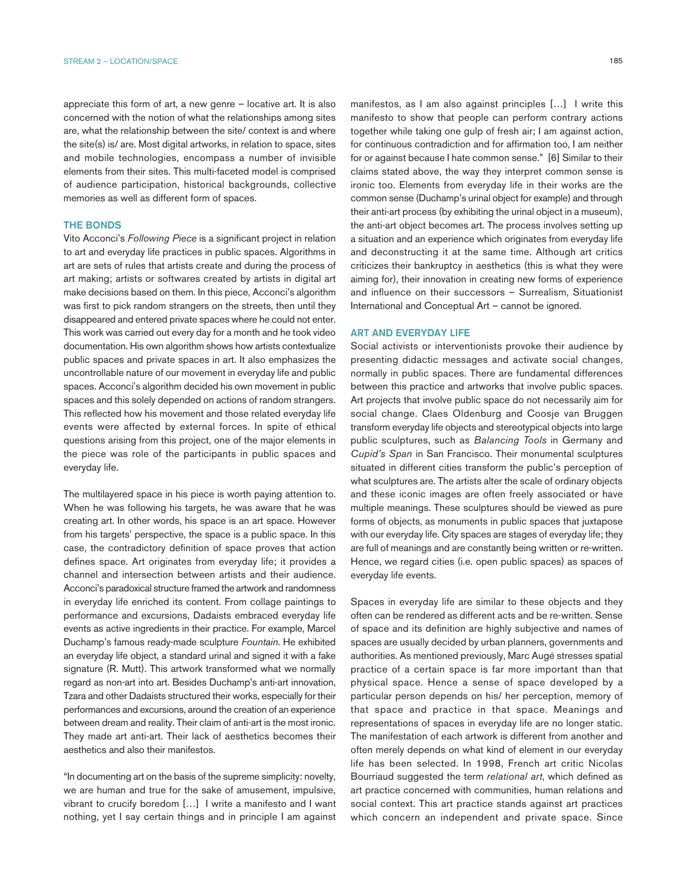appreciate this form of art, a new genre – locative art. It is also concerned with the notion of what the relationships among sites are, what the relationship between the site/ context is and where the site(s) is/ are. Most digital artworks, in relation to space, sites and mobile technologies, encompass a number of invisible elements from their sites. This multi-faceted model is comprised of audience participation, historical backgrounds, collective memories as well as different form of spaces.

### THE BONDS

Vito Acconci's *Following Piece* is a significant project in relation to art and everyday life practices in public spaces. Algorithms in art are sets of rules that artists create and during the process of art making; artists or softwares created by artists in digital art make decisions based on them. In this piece, Acconci's algorithm was first to pick random strangers on the streets, then until they disappeared and entered private spaces where he could not enter. This work was carried out every day for a month and he took video documentation. His own algorithm shows how artists contextualize public spaces and private spaces in art. It also emphasizes the uncontrollable nature of our movement in everyday life and public spaces. Acconci's algorithm decided his own movement in public spaces and this solely depended on actions of random strangers. This reflected how his movement and those related everyday life events were affected by external forces. In spite of ethical questions arising from this project, one of the major elements in the piece was role of the participants in public spaces and everyday life.

The multilayered space in his piece is worth paying attention to. When he was following his targets, he was aware that he was creating art. In other words, his space is an art space. However from his targets' perspective, the space is a public space. In this case, the contradictory definition of space proves that action defines space. Art originates from everyday life; it provides a channel and intersection between artists and their audience. Acconci's paradoxical structure framed the artwork and randomness in everyday life enriched its content. From collage paintings to performance and excursions, Dadaists embraced everyday life events as active ingredients in their practice. For example, Marcel Duchamp's famous ready-made sculpture *Fountain*. He exhibited an everyday life object, a standard urinal and signed it with a fake signature (R. Mutt). This artwork transformed what we normally regard as non-art into art. Besides Duchamp's anti-art innovation, Tzara and other Dadaists structured their works, especially for their performances and excursions, around the creation of an experience between dream and reality. Their claim of anti-art is the most ironic. They made art anti-art. Their lack of aesthetics becomes their aesthetics and also their manifestos.

"In documenting art on the basis of the supreme simplicity: novelty, we are human and true for the sake of amusement, impulsive, vibrant to crucify boredom […] I write a manifesto and I want nothing, yet I say certain things and in principle I am against manifestos, as I am also against principles […] I write this manifesto to show that people can perform contrary actions together while taking one gulp of fresh air; I am against action, for continuous contradiction and for affirmation too, I am neither for or against because I hate common sense." [6] Similar to their claims stated above, the way they interpret common sense is ironic too. Elements from everyday life in their works are the common sense (Duchamp's urinal object for example) and through their anti-art process (by exhibiting the urinal object in a museum), the anti-art object becomes art. The process involves setting up a situation and an experience which originates from everyday life and deconstructing it at the same time. Although art critics criticizes their bankruptcy in aesthetics (this is what they were aiming for), their innovation in creating new forms of experience and influence on their successors – Surrealism, Situationist International and Conceptual Art – cannot be ignored.

## ART AND EVERYDAY LIFE

Social activists or interventionists provoke their audience by presenting didactic messages and activate social changes, normally in public spaces. There are fundamental differences between this practice and artworks that involve public spaces. Art projects that involve public space do not necessarily aim for social change. Claes Oldenburg and Coosje van Bruggen transform everyday life objects and stereotypical objects into large public sculptures, such as *Balancing Tools* in Germany and *Cupid's Span* in San Francisco. Their monumental sculptures situated in different cities transform the public's perception of what sculptures are. The artists alter the scale of ordinary objects and these iconic images are often freely associated or have multiple meanings. These sculptures should be viewed as pure forms of objects, as monuments in public spaces that juxtapose with our everyday life. City spaces are stages of everyday life; they are full of meanings and are constantly being written or re-written. Hence, we regard cities (i.e. open public spaces) as spaces of everyday life events.

Spaces in everyday life are similar to these objects and they often can be rendered as different acts and be re-written. Sense of space and its definition are highly subjective and names of spaces are usually decided by urban planners, governments and authorities. As mentioned previously, Marc Augé stresses spatial practice of a certain space is far more important than that physical space. Hence a sense of space developed by a particular person depends on his/ her perception, memory of that space and practice in that space. Meanings and representations of spaces in everyday life are no longer static. The manifestation of each artwork is different from another and often merely depends on what kind of element in our everyday life has been selected. In 1998, French art critic Nicolas Bourriaud suggested the term *relational art*, which defined as art practice concerned with communities, human relations and social context. This art practice stands against art practices which concern an independent and private space. Since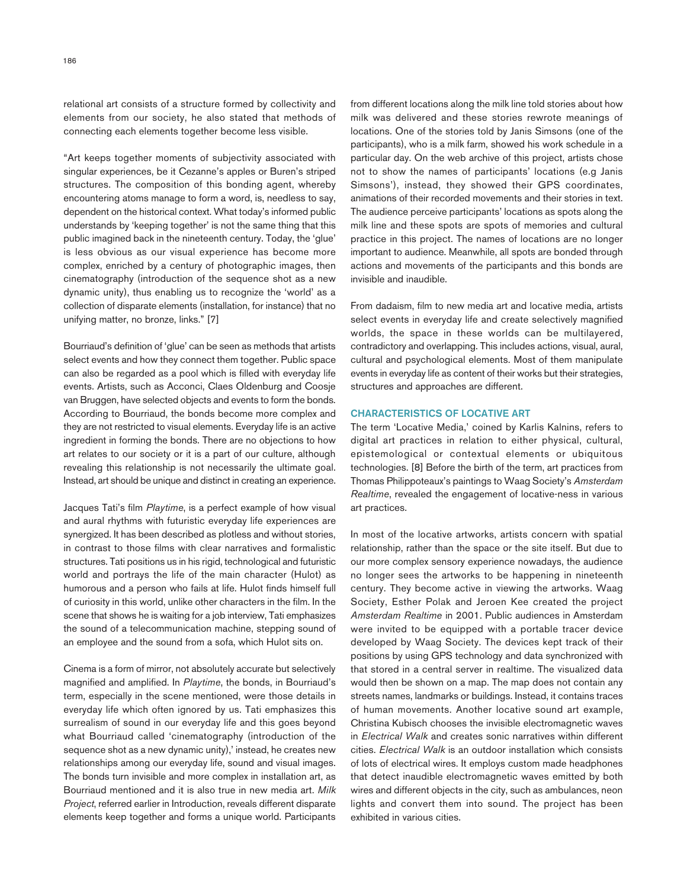relational art consists of a structure formed by collectivity and elements from our society, he also stated that methods of connecting each elements together become less visible.

"Art keeps together moments of subjectivity associated with singular experiences, be it Cezanne's apples or Buren's striped structures. The composition of this bonding agent, whereby encountering atoms manage to form a word, is, needless to say, dependent on the historical context. What today's informed public understands by 'keeping together' is not the same thing that this public imagined back in the nineteenth century. Today, the 'glue' is less obvious as our visual experience has become more complex, enriched by a century of photographic images, then cinematography (introduction of the sequence shot as a new dynamic unity), thus enabling us to recognize the 'world' as a collection of disparate elements (installation, for instance) that no unifying matter, no bronze, links." [7]

Bourriaud's definition of 'glue' can be seen as methods that artists select events and how they connect them together. Public space can also be regarded as a pool which is filled with everyday life events. Artists, such as Acconci, Claes Oldenburg and Coosje van Bruggen, have selected objects and events to form the bonds. According to Bourriaud, the bonds become more complex and they are not restricted to visual elements. Everyday life is an active ingredient in forming the bonds. There are no objections to how art relates to our society or it is a part of our culture, although revealing this relationship is not necessarily the ultimate goal. Instead, art should be unique and distinct in creating an experience.

Jacques Tati's film *Playtime*, is a perfect example of how visual and aural rhythms with futuristic everyday life experiences are synergized. It has been described as plotless and without stories, in contrast to those films with clear narratives and formalistic structures. Tati positions us in his rigid, technological and futuristic world and portrays the life of the main character (Hulot) as humorous and a person who fails at life. Hulot finds himself full of curiosity in this world, unlike other characters in the film. In the scene that shows he is waiting for a job interview, Tati emphasizes the sound of a telecommunication machine, stepping sound of an employee and the sound from a sofa, which Hulot sits on.

Cinema is a form of mirror, not absolutely accurate but selectively magnified and amplified. In *Playtime*, the bonds, in Bourriaud's term, especially in the scene mentioned, were those details in everyday life which often ignored by us. Tati emphasizes this surrealism of sound in our everyday life and this goes beyond what Bourriaud called 'cinematography (introduction of the sequence shot as a new dynamic unity),' instead, he creates new relationships among our everyday life, sound and visual images. The bonds turn invisible and more complex in installation art, as Bourriaud mentioned and it is also true in new media art. *Milk Project*, referred earlier in Introduction, reveals different disparate elements keep together and forms a unique world. Participants from different locations along the milk line told stories about how milk was delivered and these stories rewrote meanings of locations. One of the stories told by Janis Simsons (one of the participants), who is a milk farm, showed his work schedule in a particular day. On the web archive of this project, artists chose not to show the names of participants' locations (e.g Janis Simsons'), instead, they showed their GPS coordinates, animations of their recorded movements and their stories in text. The audience perceive participants' locations as spots along the milk line and these spots are spots of memories and cultural practice in this project. The names of locations are no longer important to audience. Meanwhile, all spots are bonded through actions and movements of the participants and this bonds are invisible and inaudible.

From dadaism, film to new media art and locative media, artists select events in everyday life and create selectively magnified worlds, the space in these worlds can be multilayered, contradictory and overlapping. This includes actions, visual, aural, cultural and psychological elements. Most of them manipulate events in everyday life as content of their works but their strategies, structures and approaches are different.

## CHARACTERISTICS OF LOCATIVE ART

The term 'Locative Media,' coined by Karlis Kalnins, refers to digital art practices in relation to either physical, cultural, epistemological or contextual elements or ubiquitous technologies. [8] Before the birth of the term, art practices from Thomas Philippoteaux's paintings to Waag Society's *Amsterdam Realtime*, revealed the engagement of locative-ness in various art practices.

In most of the locative artworks, artists concern with spatial relationship, rather than the space or the site itself. But due to our more complex sensory experience nowadays, the audience no longer sees the artworks to be happening in nineteenth century. They become active in viewing the artworks. Waag Society, Esther Polak and Jeroen Kee created the project *Amsterdam Realtime* in 2001. Public audiences in Amsterdam were invited to be equipped with a portable tracer device developed by Waag Society. The devices kept track of their positions by using GPS technology and data synchronized with that stored in a central server in realtime. The visualized data would then be shown on a map. The map does not contain any streets names, landmarks or buildings. Instead, it contains traces of human movements. Another locative sound art example, Christina Kubisch chooses the invisible electromagnetic waves in *Electrical Walk* and creates sonic narratives within different cities. *Electrical Walk* is an outdoor installation which consists of lots of electrical wires. It employs custom made headphones that detect inaudible electromagnetic waves emitted by both wires and different objects in the city, such as ambulances, neon lights and convert them into sound. The project has been exhibited in various cities.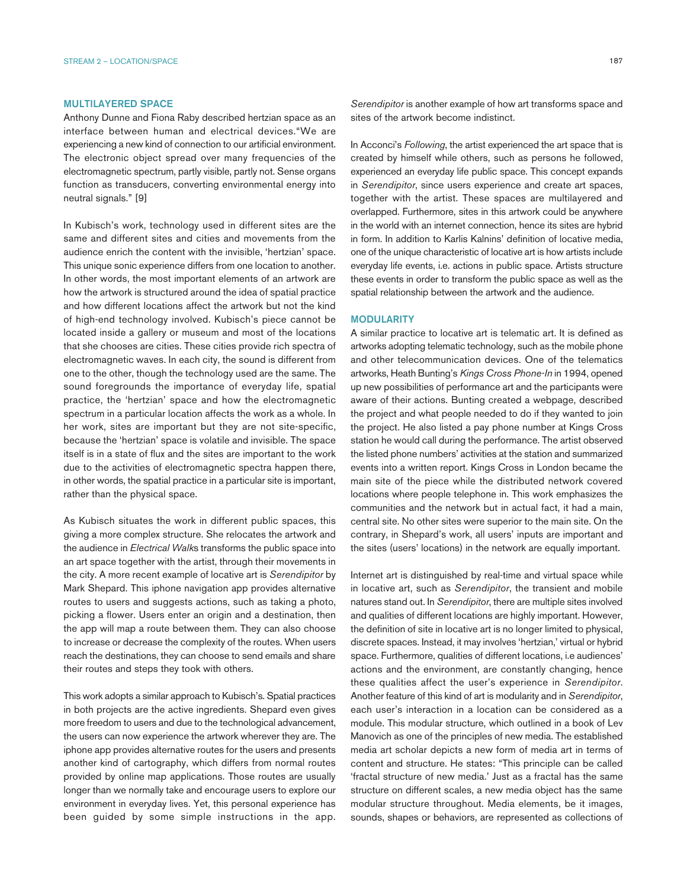## MULTILAYERED SPACE

Anthony Dunne and Fiona Raby described hertzian space as an interface between human and electrical devices."We are experiencing a new kind of connection to our artificial environment. The electronic object spread over many frequencies of the electromagnetic spectrum, partly visible, partly not. Sense organs function as transducers, converting environmental energy into neutral signals." [9]

In Kubisch's work, technology used in different sites are the same and different sites and cities and movements from the audience enrich the content with the invisible, 'hertzian' space. This unique sonic experience differs from one location to another. In other words, the most important elements of an artwork are how the artwork is structured around the idea of spatial practice and how different locations affect the artwork but not the kind of high-end technology involved. Kubisch's piece cannot be located inside a gallery or museum and most of the locations that she chooses are cities. These cities provide rich spectra of electromagnetic waves. In each city, the sound is different from one to the other, though the technology used are the same. The sound foregrounds the importance of everyday life, spatial practice, the 'hertzian' space and how the electromagnetic spectrum in a particular location affects the work as a whole. In her work, sites are important but they are not site-specific, because the 'hertzian' space is volatile and invisible. The space itself is in a state of flux and the sites are important to the work due to the activities of electromagnetic spectra happen there, in other words, the spatial practice in a particular site is important, rather than the physical space.

As Kubisch situates the work in different public spaces, this giving a more complex structure. She relocates the artwork and the audience in *Electrical Walk*s transforms the public space into an art space together with the artist, through their movements in the city. A more recent example of locative art is *Serendipitor* by Mark Shepard. This iphone navigation app provides alternative routes to users and suggests actions, such as taking a photo, picking a flower. Users enter an origin and a destination, then the app will map a route between them. They can also choose to increase or decrease the complexity of the routes. When users reach the destinations, they can choose to send emails and share their routes and steps they took with others.

This work adopts a similar approach to Kubisch's. Spatial practices in both projects are the active ingredients. Shepard even gives more freedom to users and due to the technological advancement, the users can now experience the artwork wherever they are. The iphone app provides alternative routes for the users and presents another kind of cartography, which differs from normal routes provided by online map applications. Those routes are usually longer than we normally take and encourage users to explore our environment in everyday lives. Yet, this personal experience has been guided by some simple instructions in the app. *Serendipitor* is another example of how art transforms space and sites of the artwork become indistinct.

In Acconci's *Following*, the artist experienced the art space that is created by himself while others, such as persons he followed, experienced an everyday life public space. This concept expands in *Serendipitor*, since users experience and create art spaces, together with the artist. These spaces are multilayered and overlapped. Furthermore, sites in this artwork could be anywhere in the world with an internet connection, hence its sites are hybrid in form. In addition to Karlis Kalnins' definition of locative media, one of the unique characteristic of locative art is how artists include everyday life events, i.e. actions in public space. Artists structure these events in order to transform the public space as well as the spatial relationship between the artwork and the audience.

#### **MODULARITY**

A similar practice to locative art is telematic art. It is defined as artworks adopting telematic technology, such as the mobile phone and other telecommunication devices. One of the telematics artworks, Heath Bunting's *Kings Cross Phone-In* in 1994, opened up new possibilities of performance art and the participants were aware of their actions. Bunting created a webpage, described the project and what people needed to do if they wanted to join the project. He also listed a pay phone number at Kings Cross station he would call during the performance. The artist observed the listed phone numbers' activities at the station and summarized events into a written report. Kings Cross in London became the main site of the piece while the distributed network covered locations where people telephone in. This work emphasizes the communities and the network but in actual fact, it had a main, central site. No other sites were superior to the main site. On the contrary, in Shepard's work, all users' inputs are important and the sites (users' locations) in the network are equally important.

Internet art is distinguished by real-time and virtual space while in locative art, such as *Serendipitor*, the transient and mobile natures stand out. In *Serendipitor*, there are multiple sites involved and qualities of different locations are highly important. However, the definition of site in locative art is no longer limited to physical, discrete spaces. Instead, it may involves 'hertzian,' virtual or hybrid space. Furthermore, qualities of different locations, i.e audiences' actions and the environment, are constantly changing, hence these qualities affect the user's experience in *Serendipitor*. Another feature of this kind of art is modularity and in *Serendipitor*, each user's interaction in a location can be considered as a module. This modular structure, which outlined in a book of Lev Manovich as one of the principles of new media. The established media art scholar depicts a new form of media art in terms of content and structure. He states: "This principle can be called 'fractal structure of new media.' Just as a fractal has the same structure on different scales, a new media object has the same modular structure throughout. Media elements, be it images, sounds, shapes or behaviors, are represented as collections of